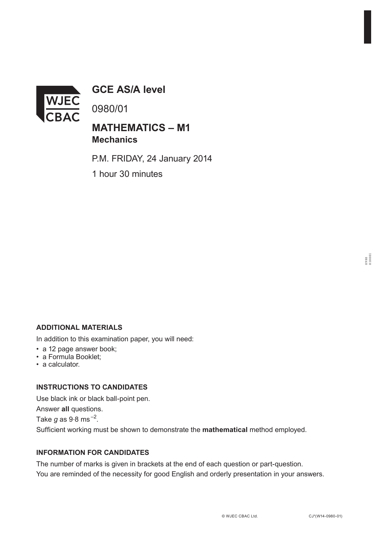

**GCE AS/A level**

0980/01

### **MATHEMATICS – M1 Mechanics**

P.M. FRIDAY, 24 January 2014

1 hour 30 minutes

#### **ADDITIONAL MATERIALS**

In addition to this examination paper, you will need:

- a 12 page answer book;
- a Formula Booklet;
- a calculator.

#### **INSTRUCTIONS TO CANDIDATES**

Use black ink or black ball-point pen. Answer **all** questions. Take *g* as 9.8 ms –2. Sufficient working must be shown to demonstrate the **mathematical** method employed.

#### **INFORMATION FOR CANDIDATES**

The number of marks is given in brackets at the end of each question or part-question. You are reminded of the necessity for good English and orderly presentation in your answers.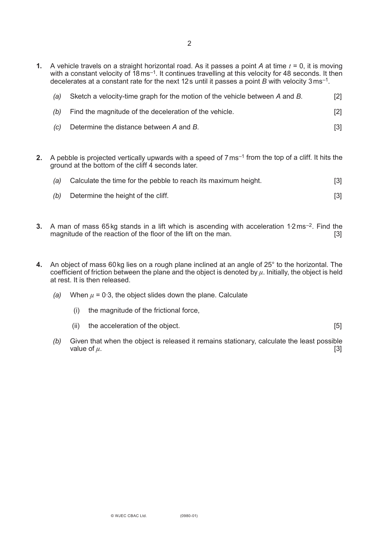**1.** A vehicle travels on a straight horizontal road. As it passes a point *A* at time *t* = 0, it is moving with a constant velocity of 18 ms<sup>-1</sup>. It continues travelling at this velocity for 48 seconds. It then decelerates at a constant rate for the next 12s until it passes a point *B* with velocity 3ms–1.

| (a) | Sketch a velocity-time graph for the motion of the vehicle between A and B. | $\lceil 2 \rceil$ |
|-----|-----------------------------------------------------------------------------|-------------------|
| (b) | Find the magnitude of the deceleration of the vehicle.                      | $[2]$             |
| (C) | Determine the distance between A and B.                                     | $\lceil 3 \rceil$ |

**2.** A pebble is projected vertically upwards with a speed of 7ms–1 from the top of a cliff. It hits the ground at the bottom of the cliff 4 seconds later.

| (a) | Calculate the time for the pebble to reach its maximum height. | $[3]$ |
|-----|----------------------------------------------------------------|-------|
| (b) | Determine the height of the cliff.                             | $[3]$ |

- **3.** A man of mass 65kg stands in a lift which is ascending with acceleration 1<sup>·2</sup>ms<sup>-2</sup>. Find the magnitude of the reaction of the floor of the lift on the man. magnitude of the reaction of the floor of the lift on the man.
- **4.** An object of mass 60kg lies on a rough plane inclined at an angle of 25° to the horizontal. The coefficient of friction between the plane and the object is denoted by *µ*. Initially, the object is held at rest. It is then released.
	- *(a)* When  $\mu$  = 0.3, the object slides down the plane. Calculate
		- (i) the magnitude of the frictional force,
		- (ii) the acceleration of the object. [5]
	- *(b)* Given that when the object is released it remains stationary, calculate the least possible value of  $\mu$ . [3]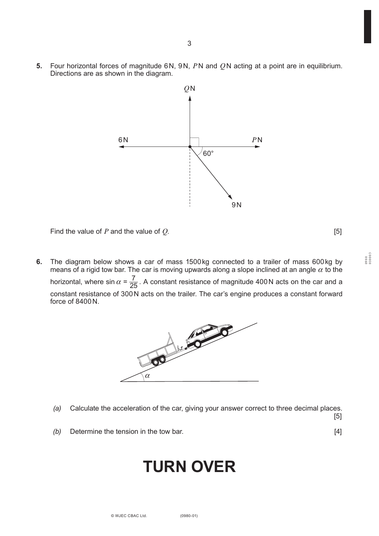**5.** Four horizontal forces of magnitude 6N, 9N, *P*N and *Q*N acting at a point are in equilibrium. Directions are as shown in the diagram.



Find the value of *P* and the value of *Q*. [5]

**6.** The diagram below shows a car of mass 1500kg connected to a trailer of mass 600kg by means of a rigid tow bar. The car is moving upwards along a slope inclined at an angle  $\alpha$  to the horizontal, where sin  $\alpha = \frac{7}{25}$ . A constant resistance of magnitude 400N acts on the car and a constant resistance of 300N acts on the trailer. The car's engine produces a constant forward force of 8400N.



- *(a)* Calculate the acceleration of the car, giving your answer correct to three decimal places.
- *(b)* Determine the tension in the tow bar. [4]

### **TURN OVER**

[5]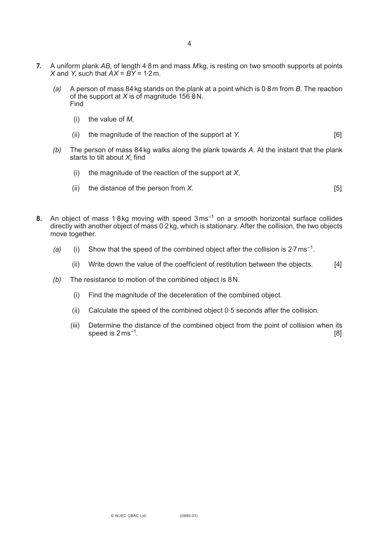- *(a)* A person of mass 84kg stands on the plank at a point which is 0·8m from *B*. The reaction of the support at *X* is of magnitude 156·8N. Find
	- (i) the value of *M*,
	- (ii) the magnitude of the reaction of the support at *Y*. [6]
- *(b)* The person of mass 84kg walks along the plank towards *A*. At the instant that the plank starts to tilt about *X*, find
	- (i) the magnitude of the reaction of the support at *X*,
	- (ii) the distance of the person from  $X$ . [5]
		-
- **8.** An object of mass 1·8kg moving with speed 3ms–1 on a smooth horizontal surface collides directly with another object of mass 0·2kg, which is stationary. After the collision, the two objects move together.
	- *(a)* (i) Show that the speed of the combined object after the collision is 2·7ms–1.
		- (ii) Write down the value of the coefficient of restitution between the objects. [4]
	- *(b)* The resistance to motion of the combined object is 8N.
		- (i) Find the magnitude of the deceleration of the combined object.
		- (ii) Calculate the speed of the combined object 0·5 seconds after the collision.
		- (iii) Determine the distance of the combined object from the point of collision when its speed is  $2 \text{ ms}^{-1}$ . [8]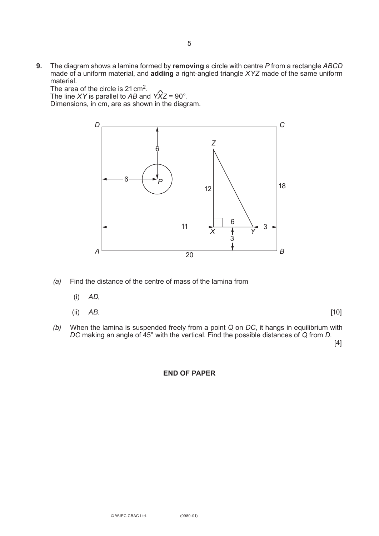**9.** The diagram shows a lamina formed by **removing** a circle with centre *P* from a rectangle *ABCD* made of a uniform material, and **adding** a right-angled triangle *XYZ* made of the same uniform material.

The area of the circle is 21 cm<sup>2</sup>. The line *XY* is parallel to *AB* and *YXZ* = 90°. Dimensions, in cm, are as shown in the diagram.  $\hat{\mathbf{c}}$ 



- *(a)* Find the distance of the centre of mass of the lamina from
	- (i) *AD*,
	- (ii) *AB*. [10]
- *(b)* When the lamina is suspended freely from a point *Q* on *DC*, it hangs in equilibrium with *DC* making an angle of 45° with the vertical. Find the possible distances of *Q* from *D*. [4]

**END OF PAPER**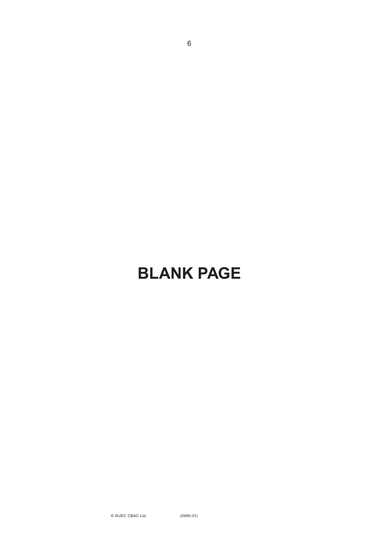# **BLANK PAGE**

6